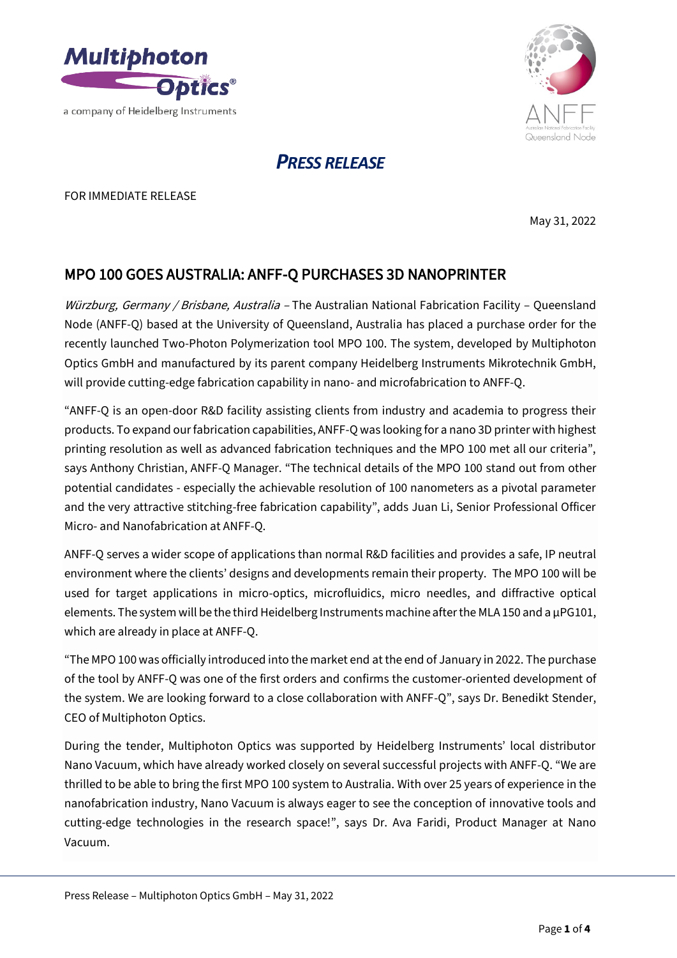



# *PRESS RELEASE*

FOR IMMEDIATE RELEASE

May 31, 2022

## MPO 100 GOES AUSTRALIA: ANFF-Q PURCHASES 3D NANOPRINTER

Würzburg, Germany / Brisbane, Australia – The Australian National Fabrication Facility – Queensland Node (ANFF-Q) based at the University of Queensland, Australia has placed a purchase order for the recently launched Two-Photon Polymerization tool MPO 100. The system, developed by Multiphoton Optics GmbH and manufactured by its parent company Heidelberg Instruments Mikrotechnik GmbH, will provide cutting-edge fabrication capability in nano- and microfabrication to ANFF-Q.

"ANFF-Q is an open-door R&D facility assisting clients from industry and academia to progress their products. To expand our fabrication capabilities, ANFF-Q was looking for a nano 3D printer with highest printing resolution as well as advanced fabrication techniques and the MPO 100 met all our criteria", says Anthony Christian, ANFF-Q Manager. "The technical details of the MPO 100 stand out from other potential candidates - especially the achievable resolution of 100 nanometers as a pivotal parameter and the very attractive stitching-free fabrication capability", adds Juan Li, Senior Professional Officer Micro- and Nanofabrication at ANFF-Q.

ANFF-Q serves a wider scope of applications than normal R&D facilities and provides a safe, IP neutral environment where the clients' designs and developments remain their property. The MPO 100 will be used for target applications in micro-optics, microfluidics, micro needles, and diffractive optical elements. The system will be the third Heidelberg Instruments machine after the MLA 150 and a  $\mu$ PG101, which are already in place at ANFF-Q.

"The MPO 100 was officially introduced into the market end at the end of January in 2022. The purchase of the tool by ANFF-Q was one of the first orders and confirms the customer-oriented development of the system. We are looking forward to a close collaboration with ANFF-Q", says Dr. Benedikt Stender, CEO of Multiphoton Optics.

During the tender, Multiphoton Optics was supported by Heidelberg Instruments' local distributor Nano Vacuum, which have already worked closely on several successful projects with ANFF-Q. "We are thrilled to be able to bring the first MPO 100 system to Australia. With over 25 years of experience in the nanofabrication industry, Nano Vacuum is always eager to see the conception of innovative tools and cutting-edge technologies in the research space!", says Dr. Ava Faridi, Product Manager at Nano Vacuum.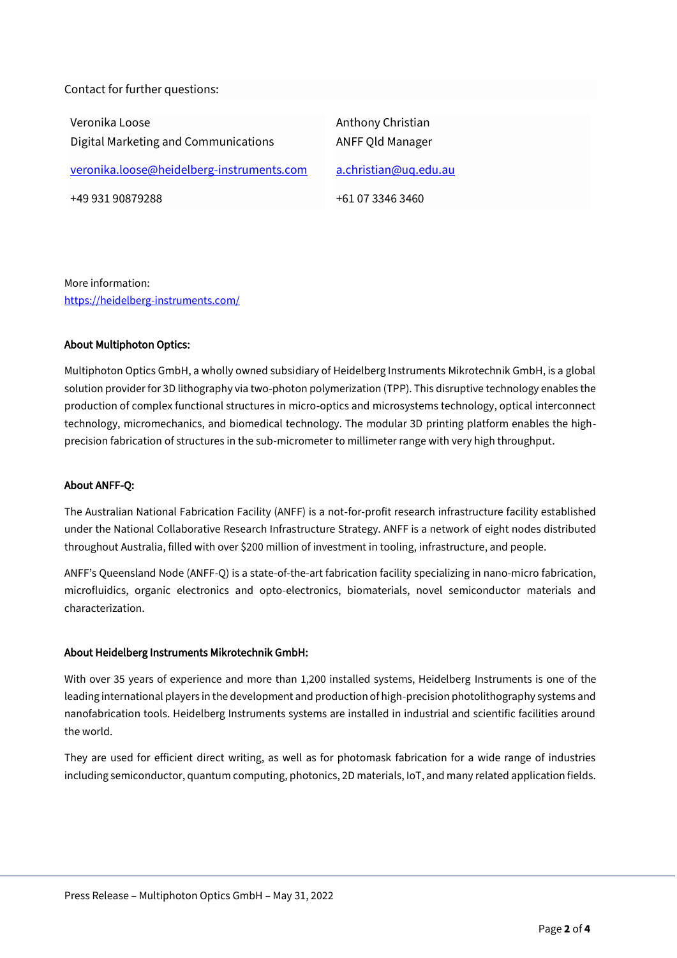Contact for further questions:

Veronika Loose Digital Marketing and Communications [veronika.loose@heidelberg-instruments.com](mailto:veronika.loose@heidelberg-instruments.com) +49 931 90879288 Anthony Christian ANFF Qld Manager [a.christian@uq.edu.au](mailto:a.christian@uq.edu.au) +61 07 3346 3460

More information: <https://heidelberg-instruments.com/>

#### About Multiphoton Optics:

Multiphoton Optics GmbH, a wholly owned subsidiary of Heidelberg Instruments Mikrotechnik GmbH, is a global solution provider for 3D lithography via two-photon polymerization (TPP). This disruptive technology enables the production of complex functional structures in micro-optics and microsystems technology, optical interconnect technology, micromechanics, and biomedical technology. The modular 3D printing platform enables the highprecision fabrication of structures in the sub-micrometer to millimeter range with very high throughput.

#### About ANFF-Q:

The Australian National Fabrication Facility (ANFF) is a not-for-profit research infrastructure facility established under the National Collaborative Research Infrastructure Strategy. ANFF is a network of eight nodes distributed throughout Australia, filled with over \$200 million of investment in tooling, infrastructure, and people.

ANFF's Queensland Node (ANFF-Q) is a state-of-the-art fabrication facility specializing in nano-micro fabrication, microfluidics, organic electronics and opto-electronics, biomaterials, novel semiconductor materials and characterization.

### About Heidelberg Instruments Mikrotechnik GmbH:

With over 35 years of experience and more than 1,200 installed systems, Heidelberg Instruments is one of the leading international players in the development and production of high-precision photolithography systems and nanofabrication tools. Heidelberg Instruments systems are installed in industrial and scientific facilities around the world.

They are used for efficient direct writing, as well as for photomask fabrication for a wide range of industries including semiconductor, quantum computing, photonics, 2D materials, IoT, and many related application fields.